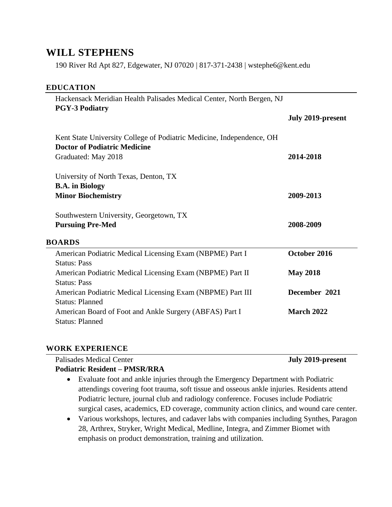# **WILL STEPHENS**

190 River Rd Apt 827, Edgewater, NJ 07020 | 817-371-2438 | wstephe6@kent.edu

#### **EDUCATION**

| Hackensack Meridian Health Palisades Medical Center, North Bergen, NJ<br><b>PGY-3 Podiatry</b> |                   |
|------------------------------------------------------------------------------------------------|-------------------|
|                                                                                                | July 2019-present |
| Kent State University College of Podiatric Medicine, Independence, OH                          |                   |
| <b>Doctor of Podiatric Medicine</b>                                                            |                   |
| Graduated: May 2018                                                                            | 2014-2018         |
| University of North Texas, Denton, TX                                                          |                   |
| <b>B.A.</b> in Biology                                                                         |                   |
| <b>Minor Biochemistry</b>                                                                      | 2009-2013         |
|                                                                                                |                   |
|                                                                                                |                   |
| Southwestern University, Georgetown, TX<br><b>Pursuing Pre-Med</b>                             | 2008-2009         |
| <b>BOARDS</b>                                                                                  |                   |
| American Podiatric Medical Licensing Exam (NBPME) Part I                                       | October 2016      |
| <b>Status: Pass</b>                                                                            |                   |
| American Podiatric Medical Licensing Exam (NBPME) Part II                                      | <b>May 2018</b>   |
| <b>Status: Pass</b>                                                                            |                   |
| American Podiatric Medical Licensing Exam (NBPME) Part III                                     | December 2021     |
| <b>Status: Planned</b>                                                                         |                   |
| American Board of Foot and Ankle Surgery (ABFAS) Part I                                        | <b>March 2022</b> |

#### **WORK EXPERIENCE**

| Palisades Medical Center | July 2019-present |
|--------------------------|-------------------|
| _ _ _ _ _ _              |                   |

#### **Podiatric Resident – PMSR/RRA**

- Evaluate foot and ankle injuries through the Emergency Department with Podiatric attendings covering foot trauma, soft tissue and osseous ankle injuries. Residents attend Podiatric lecture, journal club and radiology conference. Focuses include Podiatric surgical cases, academics, ED coverage, community action clinics, and wound care center.
- Various workshops, lectures, and cadaver labs with companies including Synthes, Paragon 28, Arthrex, Stryker, Wright Medical, Medline, Integra, and Zimmer Biomet with emphasis on product demonstration, training and utilization.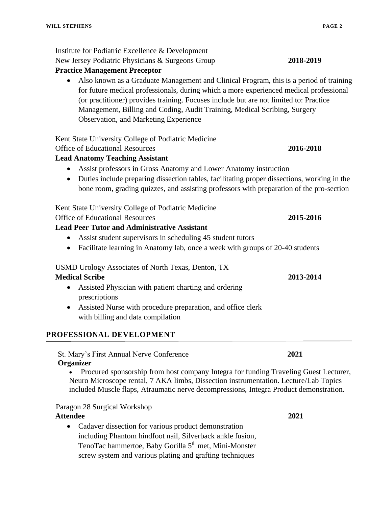Institute for Podiatric Excellence & Development New Jersey Podiatric Physicians & Surgeons Group **2018-2019 Practice Management Preceptor** • Also known as a Graduate Management and Clinical Program, this is a period of training for future medical professionals, during which a more experienced medical professional (or practitioner) provides training. Focuses include but are not limited to: Practice Management, Billing and Coding, Audit Training, Medical Scribing, Surgery Observation, and Marketing Experience Kent State University College of Podiatric Medicine Office of Educational Resources **2016-2018 Lead Anatomy Teaching Assistant** • Assist professors in Gross Anatomy and Lower Anatomy instruction • Duties include preparing dissection tables, facilitating proper dissections, working in the bone room, grading quizzes, and assisting professors with preparation of the pro-section Kent State University College of Podiatric Medicine Office of Educational Resources **2015-2016 Lead Peer Tutor and Administrative Assistant** • Assist student supervisors in scheduling 45 student tutors • Facilitate learning in Anatomy lab, once a week with groups of 20-40 students

# USMD Urology Associates of North Texas, Denton, TX

# **Medical Scribe 2013-2014**

- Assisted Physician with patient charting and ordering prescriptions
- Assisted Nurse with procedure preparation, and office clerk with billing and data compilation

# **PROFESSIONAL DEVELOPMENT**

St. Mary's First Annual Nerve Conference **2021**

## **Organizer**

• Procured sponsorship from host company Integra for funding Traveling Guest Lecturer, Neuro Microscope rental, 7 AKA limbs, Dissection instrumentation. Lecture/Lab Topics included Muscle flaps, Atraumatic nerve decompressions, Integra Product demonstration.

# Paragon 28 Surgical Workshop

# **Attendee 2021**

• Cadaver dissection for various product demonstration including Phantom hindfoot nail, Silverback ankle fusion, TenoTac hammertoe, Baby Gorilla 5<sup>th</sup> met, Mini-Monster screw system and various plating and grafting techniques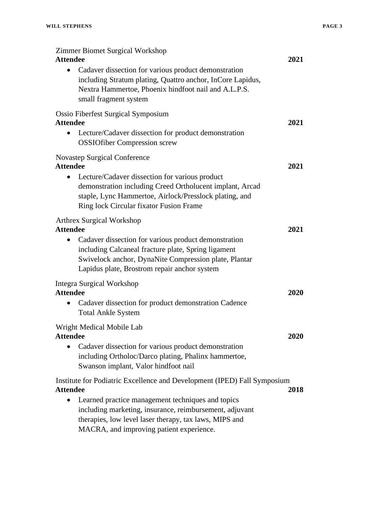| Zimmer Biomet Surgical Workshop<br><b>Attendee</b>                                                                                                                                                                                | 2021 |
|-----------------------------------------------------------------------------------------------------------------------------------------------------------------------------------------------------------------------------------|------|
| Cadaver dissection for various product demonstration<br>$\bullet$<br>including Stratum plating, Quattro anchor, InCore Lapidus,<br>Nextra Hammertoe, Phoenix hindfoot nail and A.L.P.S.<br>small fragment system                  |      |
| <b>Ossio Fiberfest Surgical Symposium</b><br><b>Attendee</b>                                                                                                                                                                      | 2021 |
| Lecture/Cadaver dissection for product demonstration<br>$\bullet$<br><b>OSSIOfiber Compression screw</b>                                                                                                                          |      |
| <b>Novastep Surgical Conference</b><br><b>Attendee</b>                                                                                                                                                                            | 2021 |
| Lecture/Cadaver dissection for various product<br>$\bullet$<br>demonstration including Creed Ortholucent implant, Arcad<br>staple, Lync Hammertoe, Airlock/Presslock plating, and<br>Ring lock Circular fixator Fusion Frame      |      |
| <b>Arthrex Surgical Workshop</b><br><b>Attendee</b>                                                                                                                                                                               | 2021 |
| Cadaver dissection for various product demonstration<br>$\bullet$<br>including Calcaneal fracture plate, Spring ligament<br>Swivelock anchor, DynaNite Compression plate, Plantar<br>Lapidus plate, Brostrom repair anchor system |      |
| <b>Integra Surgical Workshop</b>                                                                                                                                                                                                  |      |
| <b>Attendee</b><br>Cadaver dissection for product demonstration Cadence<br>$\bullet$<br><b>Total Ankle System</b>                                                                                                                 | 2020 |
| Wright Medical Mobile Lab                                                                                                                                                                                                         |      |
| <b>Attendee</b><br>Cadaver dissection for various product demonstration<br>including Ortholoc/Darco plating, Phalinx hammertoe,<br>Swanson implant, Valor hindfoot nail                                                           | 2020 |
| Institute for Podiatric Excellence and Development (IPED) Fall Symposium                                                                                                                                                          |      |
| <b>Attendee</b><br>Learned practice management techniques and topics                                                                                                                                                              | 2018 |
| including marketing, insurance, reimbursement, adjuvant<br>therapies, low level laser therapy, tax laws, MIPS and<br>MACRA, and improving patient experience.                                                                     |      |